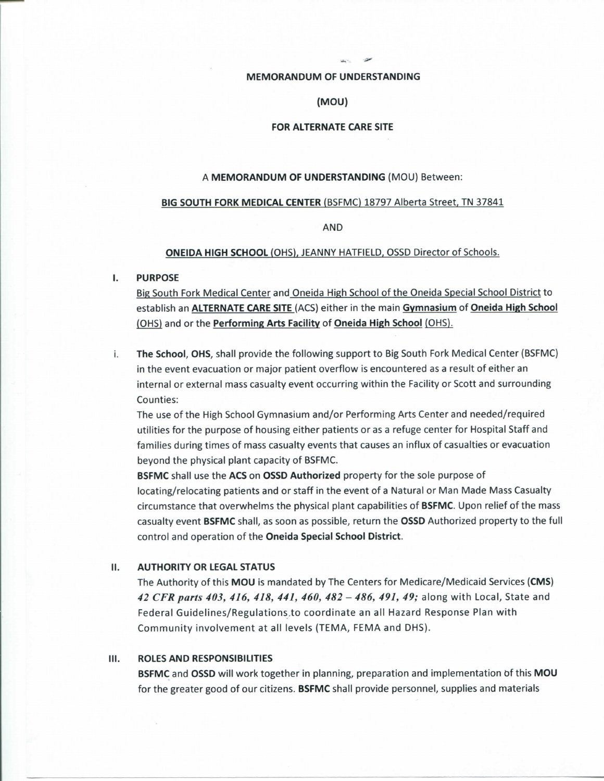### MEMORANDUM OF UNDERSTANDING

### (MOU)

# FOR ALTERNATE CARE SITE

#### A MEMORANDUM OF UNDERSTANDING (MOU) Between:

## BIG SOUTH FORK MEDICAL CENTER (BSFMC) 18797 Alberta Street, TN 37841

AND

#### ONEIDA HIGH SCHOOL (OHS). JEANNY HATFIELD. OSSD Director of Schools.

## I. PURPOSE

Big South Fork Medical Center and Oneida High School of the Oneida Special School District to establish an ALTERNATE CARE SITE (ACS) either in the main Gymnasium of Oneida High School (OHS) and or the Performing Arts Facility of Oneida High School (OHS).

i. The School, OHS, shall provide the following support to Big South Fork Medical Center (BSFMC) in the event evacuation or major patient overflow is encountered as a result of either an internal or external mass casualty event occurring within the Facility or Scott and surrounding Counties:

The use of the High School Gymnasium and/or Performing Arts Center and needed/required utilities for the purpose of housing either patients or as a refuge center for Hospital Staff and families during times of mass casualty events that causes an influx of casualties or evacuation beyond the physical plant capacity of BSFMC.

**BSFMC** shall use the ACS on OSSD Authorized property for the sole purpose of locating/relocating patients and or staff in the event of a Natural or Man Made Mass Casualty circumstance that overwhelms the physical plant capabilities of BSFMC. Upon relief of the mass casualty event BSFMC shall, as soon as possible, return the OSSD Authorized property to the full control and operation of the Oneida Special School District.

## II. AUTHORITY OR LEGAL STATUS

The Authority of this MOU is mandated by The Centers for Medicare/Medicaid Services (CMS) *42 CFRparts 403, 416, 418, 441, 460, 482 - 486, 491, 49;* along with Local, State and Federal Guidelines/Regulations.to coordinate an all Hazard Response Plan with Community involvement at all levels (TEMA, FEMA and DHS).

# III. ROLES AND RESPONSIBILITIES

BSFMC and OSSD will work together in planning, preparation and implementation of this MOU for the greater good of our citizens. BSFMC shall provide personnel, supplies and materials